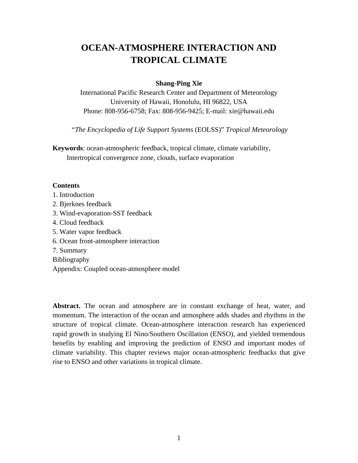# **OCEAN-ATMOSPHERE INTERACTION AND TROPICAL CLIMATE**

# **Shang-Ping Xie**

International Pacific Research Center and Department of Meteorology University of Hawaii, Honolulu, HI 96822, USA Phone: 808-956-6758; Fax: 808-956-9425; E-mail: xie@hawaii.edu

"*The Encyclopedia of Life Support Systems* (EOLSS)" *Tropical Meteorology*

**Keywords**: ocean-atmospheric feedback, tropical climate, climate variability, Intertropical convergence zone, clouds, surface evaporation

# **Contents**

- 1. Introduction
- 2. Bjerknes feedback
- 3. Wind-evaporation-SST feedback
- 4. Cloud feedback
- 5. Water vapor feedback
- 6. Ocean front-atmosphere interaction
- 7. Summary
- Bibliography
- Appendix: Coupled ocean-atmosphere model

**Abstract.** The ocean and atmosphere are in constant exchange of heat, water, and momentum. The interaction of the ocean and atmosphere adds shades and rhythms in the structure of tropical climate. Ocean-atmosphere interaction research has experienced rapid growth in studying El Nino/Southern Oscillation (ENSO), and yielded tremendous benefits by enabling and improving the prediction of ENSO and important modes of climate variability. This chapter reviews major ocean-atmospheric feedbacks that give rise to ENSO and other variations in tropical climate.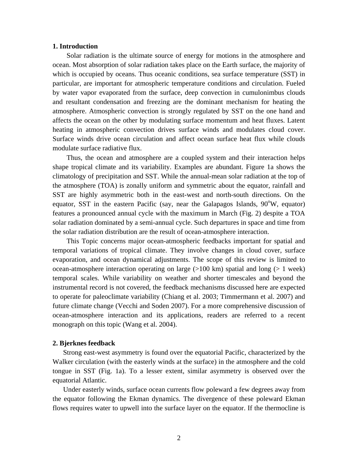# **1. Introduction**

Solar radiation is the ultimate source of energy for motions in the atmosphere and ocean. Most absorption of solar radiation takes place on the Earth surface, the majority of which is occupied by oceans. Thus oceanic conditions, sea surface temperature (SST) in particular, are important for atmospheric temperature conditions and circulation. Fueled by water vapor evaporated from the surface, deep convection in cumulonimbus clouds and resultant condensation and freezing are the dominant mechanism for heating the atmosphere. Atmospheric convection is strongly regulated by SST on the one hand and affects the ocean on the other by modulating surface momentum and heat fluxes. Latent heating in atmospheric convection drives surface winds and modulates cloud cover. Surface winds drive ocean circulation and affect ocean surface heat flux while clouds modulate surface radiative flux.

Thus, the ocean and atmosphere are a coupled system and their interaction helps shape tropical climate and its variability. Examples are abundant. Figure 1a shows the climatology of precipitation and SST. While the annual-mean solar radiation at the top of the atmosphere (TOA) is zonally uniform and symmetric about the equator, rainfall and SST are highly asymmetric both in the east-west and north-south directions. On the equator, SST in the eastern Pacific (say, near the Galapagos Islands,  $90^{\circ}$ W, equator) features a pronounced annual cycle with the maximum in March (Fig. 2) despite a TOA solar radiation dominated by a semi-annual cycle. Such departures in space and time from the solar radiation distribution are the result of ocean-atmosphere interaction.

This Topic concerns major ocean-atmospheric feedbacks important for spatial and temporal variations of tropical climate. They involve changes in cloud cover, surface evaporation, and ocean dynamical adjustments. The scope of this review is limited to ocean-atmosphere interaction operating on large  $(>100 \text{ km})$  spatial and long  $(> 1 \text{ week})$ temporal scales. While variability on weather and shorter timescales and beyond the instrumental record is not covered, the feedback mechanisms discussed here are expected to operate for paleoclimate variability (Chiang et al. 2003; Timmermann et al. 2007) and future climate change (Vecchi and Soden 2007). For a more comprehensive discussion of ocean-atmosphere interaction and its applications, readers are referred to a recent monograph on this topic (Wang et al. 2004).

#### **2. Bjerknes feedback**

Strong east-west asymmetry is found over the equatorial Pacific, characterized by the Walker circulation (with the easterly winds at the surface) in the atmosphere and the cold tongue in SST (Fig. 1a). To a lesser extent, similar asymmetry is observed over the equatorial Atlantic.

Under easterly winds, surface ocean currents flow poleward a few degrees away from the equator following the Ekman dynamics. The divergence of these poleward Ekman flows requires water to upwell into the surface layer on the equator. If the thermocline is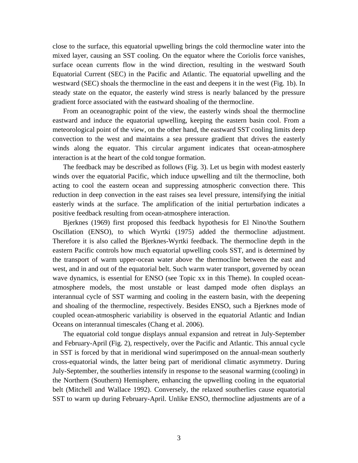close to the surface, this equatorial upwelling brings the cold thermocline water into the mixed layer, causing an SST cooling. On the equator where the Coriolis force vanishes, surface ocean currents flow in the wind direction, resulting in the westward South Equatorial Current (SEC) in the Pacific and Atlantic. The equatorial upwelling and the westward (SEC) shoals the thermocline in the east and deepens it in the west (Fig. 1b). In steady state on the equator, the easterly wind stress is nearly balanced by the pressure gradient force associated with the eastward shoaling of the thermocline.

From an oceanographic point of the view, the easterly winds shoal the thermocline eastward and induce the equatorial upwelling, keeping the eastern basin cool. From a meteorological point of the view, on the other hand, the eastward SST cooling limits deep convection to the west and maintains a sea pressure gradient that drives the easterly winds along the equator. This circular argument indicates that ocean-atmosphere interaction is at the heart of the cold tongue formation.

The feedback may be described as follows (Fig. 3). Let us begin with modest easterly winds over the equatorial Pacific, which induce upwelling and tilt the thermocline, both acting to cool the eastern ocean and suppressing atmospheric convection there. This reduction in deep convection in the east raises sea level pressure, intensifying the initial easterly winds at the surface. The amplification of the initial perturbation indicates a positive feedback resulting from ocean-atmosphere interaction.

Bjerknes (1969) first proposed this feedback hypothesis for El Nino/the Southern Oscillation (ENSO), to which Wyrtki (1975) added the thermocline adjustment. Therefore it is also called the Bjerknes-Wyrtki feedback. The thermocline depth in the eastern Pacific controls how much equatorial upwelling cools SST, and is determined by the transport of warm upper-ocean water above the thermocline between the east and west, and in and out of the equatorial belt. Such warm water transport, governed by ocean wave dynamics, is essential for ENSO (see Topic xx in this Theme). In coupled oceanatmosphere models, the most unstable or least damped mode often displays an interannual cycle of SST warming and cooling in the eastern basin, with the deepening and shoaling of the thermocline, respectively. Besides ENSO, such a Bjerknes mode of coupled ocean-atmospheric variability is observed in the equatorial Atlantic and Indian Oceans on interannual timescales (Chang et al. 2006).

The equatorial cold tongue displays annual expansion and retreat in July-September and February-April (Fig. 2), respectively, over the Pacific and Atlantic. This annual cycle in SST is forced by that in meridional wind superimposed on the annual-mean southerly cross-equatorial winds, the latter being part of meridional climatic asymmetry. During July-September, the southerlies intensify in response to the seasonal warming (cooling) in the Northern (Southern) Hemisphere, enhancing the upwelling cooling in the equatorial belt (Mitchell and Wallace 1992). Conversely, the relaxed southerlies cause equatorial SST to warm up during February-April. Unlike ENSO, thermocline adjustments are of a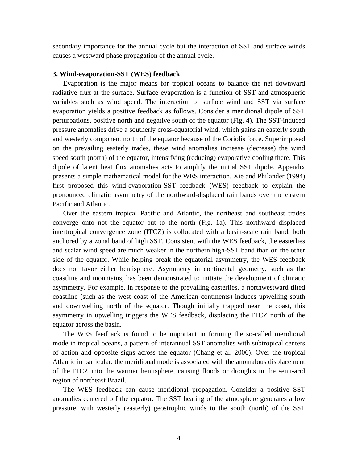secondary importance for the annual cycle but the interaction of SST and surface winds causes a westward phase propagation of the annual cycle.

## **3. Wind-evaporation-SST (WES) feedback**

Evaporation is the major means for tropical oceans to balance the net downward radiative flux at the surface. Surface evaporation is a function of SST and atmospheric variables such as wind speed. The interaction of surface wind and SST via surface evaporation yields a positive feedback as follows. Consider a meridional dipole of SST perturbations, positive north and negative south of the equator (Fig. 4). The SST-induced pressure anomalies drive a southerly cross-equatorial wind, which gains an easterly south and westerly component north of the equator because of the Coriolis force. Superimposed on the prevailing easterly trades, these wind anomalies increase (decrease) the wind speed south (north) of the equator, intensifying (reducing) evaporative cooling there. This dipole of latent heat flux anomalies acts to amplify the initial SST dipole. Appendix presents a simple mathematical model for the WES interaction. Xie and Philander (1994) first proposed this wind-evaporation-SST feedback (WES) feedback to explain the pronounced climatic asymmetry of the northward-displaced rain bands over the eastern Pacific and Atlantic.

Over the eastern tropical Pacific and Atlantic, the northeast and southeast trades converge onto not the equator but to the north (Fig. 1a). This northward displaced intertropical convergence zone (ITCZ) is collocated with a basin-scale rain band, both anchored by a zonal band of high SST. Consistent with the WES feedback, the easterlies and scalar wind speed are much weaker in the northern high-SST band than on the other side of the equator. While helping break the equatorial asymmetry, the WES feedback does not favor either hemisphere. Asymmetry in continental geometry, such as the coastline and mountains, has been demonstrated to initiate the development of climatic asymmetry. For example, in response to the prevailing easterlies, a northwestward tilted coastline (such as the west coast of the American continents) induces upwelling south and downwelling north of the equator. Though initially trapped near the coast, this asymmetry in upwelling triggers the WES feedback, displacing the ITCZ north of the equator across the basin.

The WES feedback is found to be important in forming the so-called meridional mode in tropical oceans, a pattern of interannual SST anomalies with subtropical centers of action and opposite signs across the equator (Chang et al. 2006). Over the tropical Atlantic in particular, the meridional mode is associated with the anomalous displacement of the ITCZ into the warmer hemisphere, causing floods or droughts in the semi-arid region of northeast Brazil.

The WES feedback can cause meridional propagation. Consider a positive SST anomalies centered off the equator. The SST heating of the atmosphere generates a low pressure, with westerly (easterly) geostrophic winds to the south (north) of the SST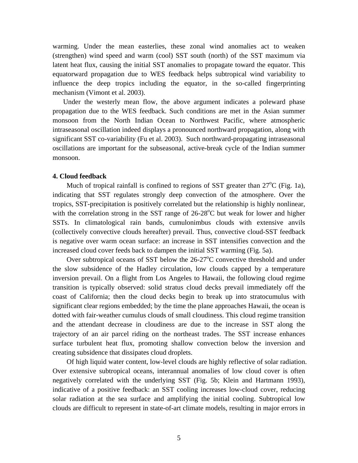warming. Under the mean easterlies, these zonal wind anomalies act to weaken (strengthen) wind speed and warm (cool) SST south (north) of the SST maximum via latent heat flux, causing the initial SST anomalies to propagate toward the equator. This equatorward propagation due to WES feedback helps subtropical wind variability to influence the deep tropics including the equator, in the so-called fingerprinting mechanism (Vimont et al. 2003).

Under the westerly mean flow, the above argument indicates a poleward phase propagation due to the WES feedback. Such conditions are met in the Asian summer monsoon from the North Indian Ocean to Northwest Pacific, where atmospheric intraseasonal oscillation indeed displays a pronounced northward propagation, along with significant SST co-variability (Fu et al. 2003). Such northward-propagating intraseasonal oscillations are important for the subseasonal, active-break cycle of the Indian summer monsoon.

#### **4. Cloud feedback**

Much of tropical rainfall is confined to regions of SST greater than  $27^{\circ}$ C (Fig. 1a), indicating that SST regulates strongly deep convection of the atmosphere. Over the tropics, SST-precipitation is positively correlated but the relationship is highly nonlinear, with the correlation strong in the SST range of  $26-28^{\circ}$ C but weak for lower and higher SSTs. In climatological rain bands, cumulonimbus clouds with extensive anvils (collectively convective clouds hereafter) prevail. Thus, convective cloud-SST feedback is negative over warm ocean surface: an increase in SST intensifies convection and the increased cloud cover feeds back to dampen the initial SST warming (Fig. 5a).

Over subtropical oceans of SST below the  $26-27^{\circ}$ C convective threshold and under the slow subsidence of the Hadley circulation, low clouds capped by a temperature inversion prevail. On a flight from Los Angeles to Hawaii, the following cloud regime transition is typically observed: solid stratus cloud decks prevail immediately off the coast of California; then the cloud decks begin to break up into stratocumulus with significant clear regions embedded; by the time the plane approaches Hawaii, the ocean is dotted with fair-weather cumulus clouds of small cloudiness. This cloud regime transition and the attendant decrease in cloudiness are due to the increase in SST along the trajectory of an air parcel riding on the northeast trades. The SST increase enhances surface turbulent heat flux, promoting shallow convection below the inversion and creating subsidence that dissipates cloud droplets.

Of high liquid water content, low-level clouds are highly reflective of solar radiation. Over extensive subtropical oceans, interannual anomalies of low cloud cover is often negatively correlated with the underlying SST (Fig. 5b; Klein and Hartmann 1993), indicative of a positive feedback: an SST cooling increases low-cloud cover, reducing solar radiation at the sea surface and amplifying the initial cooling. Subtropical low clouds are difficult to represent in state-of-art climate models, resulting in major errors in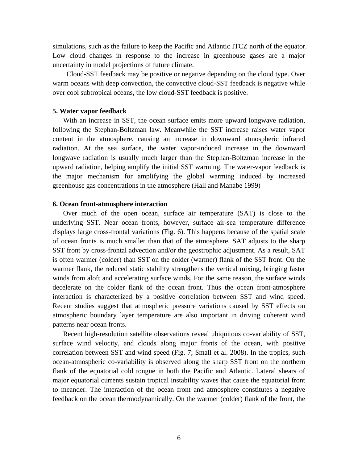simulations, such as the failure to keep the Pacific and Atlantic ITCZ north of the equator. Low cloud changes in response to the increase in greenhouse gases are a major uncertainty in model projections of future climate.

Cloud-SST feedback may be positive or negative depending on the cloud type. Over warm oceans with deep convection, the convective cloud-SST feedback is negative while over cool subtropical oceans, the low cloud-SST feedback is positive.

#### **5. Water vapor feedback**

With an increase in SST, the ocean surface emits more upward longwave radiation, following the Stephan-Boltzman law. Meanwhile the SST increase raises water vapor content in the atmosphere, causing an increase in downward atmospheric infrared radiation. At the sea surface, the water vapor-induced increase in the downward longwave radiation is usually much larger than the Stephan-Boltzman increase in the upward radiation, helping amplify the initial SST warming. The water-vapor feedback is the major mechanism for amplifying the global warming induced by increased greenhouse gas concentrations in the atmosphere (Hall and Manabe 1999)

# **6. Ocean front-atmosphere interaction**

Over much of the open ocean, surface air temperature (SAT) is close to the underlying SST. Near ocean fronts, however, surface air-sea temperature difference displays large cross-frontal variations (Fig. 6). This happens because of the spatial scale of ocean fronts is much smaller than that of the atmosphere. SAT adjusts to the sharp SST front by cross-frontal advection and/or the geostrophic adjustment. As a result, SAT is often warmer (colder) than SST on the colder (warmer) flank of the SST front. On the warmer flank, the reduced static stability strengthens the vertical mixing, bringing faster winds from aloft and accelerating surface winds. For the same reason, the surface winds decelerate on the colder flank of the ocean front. Thus the ocean front-atmosphere interaction is characterized by a positive correlation between SST and wind speed. Recent studies suggest that atmospheric pressure variations caused by SST effects on atmospheric boundary layer temperature are also important in driving coherent wind patterns near ocean fronts.

Recent high-resolution satellite observations reveal ubiquitous co-variability of SST, surface wind velocity, and clouds along major fronts of the ocean, with positive correlation between SST and wind speed (Fig. 7; Small et al. 2008). In the tropics, such ocean-atmospheric co-variability is observed along the sharp SST front on the northern flank of the equatorial cold tongue in both the Pacific and Atlantic. Lateral shears of major equatorial currents sustain tropical instability waves that cause the equatorial front to meander. The interaction of the ocean front and atmosphere constitutes a negative feedback on the ocean thermodynamically. On the warmer (colder) flank of the front, the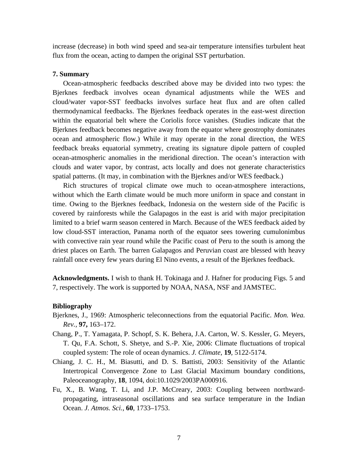increase (decrease) in both wind speed and sea-air temperature intensifies turbulent heat flux from the ocean, acting to dampen the original SST perturbation.

#### **7. Summary**

Ocean-atmospheric feedbacks described above may be divided into two types: the Bjerknes feedback involves ocean dynamical adjustments while the WES and cloud/water vapor-SST feedbacks involves surface heat flux and are often called thermodynamical feedbacks. The Bjerknes feedback operates in the east-west direction within the equatorial belt where the Coriolis force vanishes. (Studies indicate that the Bjerknes feedback becomes negative away from the equator where geostrophy dominates ocean and atmospheric flow.) While it may operate in the zonal direction, the WES feedback breaks equatorial symmetry, creating its signature dipole pattern of coupled ocean-atmospheric anomalies in the meridional direction. The ocean's interaction with clouds and water vapor, by contrast, acts locally and does not generate characteristics spatial patterns. (It may, in combination with the Bjerknes and/or WES feedback.)

Rich structures of tropical climate owe much to ocean-atmosphere interactions, without which the Earth climate would be much more uniform in space and constant in time. Owing to the Bjerknes feedback, Indonesia on the western side of the Pacific is covered by rainforests while the Galapagos in the east is arid with major precipitation limited to a brief warm season centered in March. Because of the WES feedback aided by low cloud-SST interaction, Panama north of the equator sees towering cumulonimbus with convective rain year round while the Pacific coast of Peru to the south is among the driest places on Earth. The barren Galapagos and Peruvian coast are blessed with heavy rainfall once every few years during El Nino events, a result of the Bjerknes feedback.

**Acknowledgments.** I wish to thank H. Tokinaga and J. Hafner for producing Figs. 5 and 7, respectively. The work is supported by NOAA, NASA, NSF and JAMSTEC.

#### **Bibliography**

- Bjerknes, J., 1969: Atmospheric teleconnections from the equatorial Pacific. *Mon. Wea. Rev.,* **97,** 163–172.
- Chang, P., T. Yamagata, P. Schopf, S. K. Behera, J.A. Carton, W. S. Kessler, G. Meyers, T. Qu, F.A. Schott, S. Shetye, and S.-P. Xie, 2006: Climate fluctuations of tropical coupled system: The role of ocean dynamics. *J. Climate*, **19**, 5122-5174.
- Chiang, J. C. H., M. Biasutti, and D. S. Battisti, 2003: Sensitivity of the Atlantic Intertropical Convergence Zone to Last Glacial Maximum boundary conditions, Paleoceanography, **18**, 1094, doi:10.1029/2003PA000916.
- Fu, X., B. Wang, T. Li, and J.P. McCreary, 2003: Coupling between northwardpropagating, intraseasonal oscillations and sea surface temperature in the Indian Ocean. *J. Atmos. Sci.*, **60**, 1733–1753.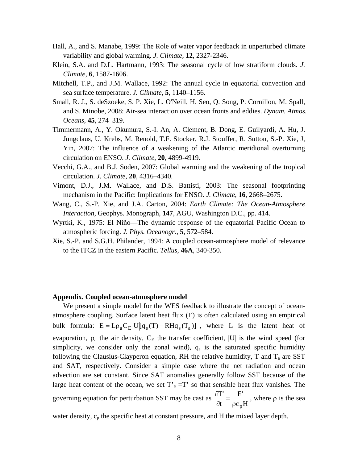- Hall, A., and S. Manabe, 1999: The Role of water vapor feedback in unperturbed climate variability and global warming. *J. Climate,* **12**, 2327-2346.
- Klein, S.A. and D.L. Hartmann, 1993: The seasonal cycle of low stratiform clouds. *J. Climate*, **6**, 1587-1606.
- Mitchell, T.P., and J.M. Wallace, 1992: The annual cycle in equatorial convection and sea surface temperature. *J. Climate*, **5**, 1140–1156.
- Small, R. J., S. deSzoeke, S. P. Xie, L. O'Neill, H. Seo, Q. Song, P. Cornillon, M. Spall, and S. Minobe, 2008: Air-sea interaction over ocean fronts and eddies. *Dynam. Atmos. Oceans*, **45**, 274–319.
- Timmermann, A., Y. Okumura, S.-I. An, A. Clement, B. Dong, E. Guilyardi, A. Hu, J. Jungclaus, U. Krebs, M. Renold, T.F. Stocker, R.J. Stouffer, R. Sutton, S.-P. Xie, J, Yin, 2007: The influence of a weakening of the Atlantic meridional overturning circulation on ENSO. *J. Climate*, **20**, 4899-4919.
- Vecchi, G.A., and B.J. Soden, 2007: Global warming and the weakening of the tropical circulation. *J. Climate*, **20**, 4316–4340.
- Vimont, D.J., J.M. Wallace, and D.S. Battisti, 2003: The seasonal footprinting mechanism in the Pacific: Implications for ENSO. *J. Climate*, **16**, 2668–2675.
- Wang, C., S.-P. Xie, and J.A. Carton, 2004: *Earth Climate: The Ocean-Atmosphere Interaction*, Geophys. Monograph, **147**, AGU, Washington D.C., pp. 414.
- Wyrtki, K., 1975: El Niño—The dynamic response of the equatorial Pacific Ocean to atmospheric forcing. *J. Phys. Oceanogr.*, **5**, 572–584.
- Xie, S.-P. and S.G.H. Philander, 1994: A coupled ocean-atmosphere model of relevance to the ITCZ in the eastern Pacific. *Tellus*, **46A**, 340-350.

#### **Appendix. Coupled ocean-atmosphere model**

We present a simple model for the WES feedback to illustrate the concept of oceanatmosphere coupling. Surface latent heat flux (E) is often calculated using an empirical bulk formula:  $E = L \rho_a C_E |U| [q_s(T) - RH q_s(T_a)]$ , where L is the latent heat of evaporation,  $\rho_a$  the air density,  $C_E$  the transfer coefficient, |U| is the wind speed (for simplicity, we consider only the zonal wind),  $q_s$  is the saturated specific humidity following the Clausius-Clayperon equation, RH the relative humidity,  $T$  and  $T_a$  are SST and SAT, respectively. Consider a simple case where the net radiation and ocean advection are set constant. Since SAT anomalies generally follow SST because of the large heat content of the ocean, we set  $T_a = T'$  so that sensible heat flux vanishes. The governing equation for perturbation SST may be cast as  $c<sub>n</sub>H$ E' t T'  $\frac{\partial T}{\partial t} = \frac{E'}{\rho c_p H}$ , where  $\rho$  is the sea

water density,  $c_p$  the specific heat at constant pressure, and H the mixed layer depth.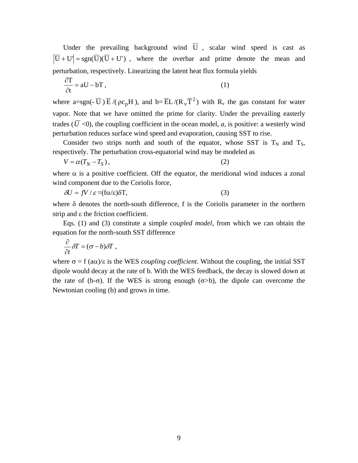Under the prevailing background wind  $\overline{U}$ , scalar wind speed is cast as  $|\overline{U} + U|$  = sgn( $\overline{U}$ )( $\overline{U}$  + U'), where the overbar and prime denote the mean and perturbation, respectively. Linearizing the latent heat flux formula yields

$$
\frac{\partial T}{\partial t} = aU - bT, \qquad (1)
$$

where a=sgn(- $\overline{U}$ )  $\overline{E}$  /( $\rho c_pH$ ), and b= $\overline{E}L/(R_vT^2)$  with  $R_v$  the gas constant for water vapor. Note that we have omitted the prime for clarity. Under the prevailing easterly trades ( $\overline{U}$  <0), the coupling coefficient in the ocean model, *a*, is positive: a westerly wind perturbation reduces surface wind speed and evaporation, causing SST to rise.

Consider two strips north and south of the equator, whose SST is  $T_N$  and  $T_S$ , respectively. The perturbation cross-equatorial wind may be modeled as

$$
V = \alpha (T_N - T_S), \qquad (2)
$$

where  $\alpha$  is a positive coefficient. Off the equator, the meridional wind induces a zonal wind component due to the Coriolis force,

$$
\delta U = fV / \varepsilon = (\text{f}\alpha/\varepsilon)\delta T,\tag{3}
$$

where  $\delta$  denotes the north-south difference, f is the Coriolis parameter in the northern strip and ε the friction coefficient.

Eqs. (1) and (3) constitute a simple *coupled model*, from which we can obtain the equation for the north-south SST difference

$$
\frac{\partial}{\partial t} \delta T = (\sigma - b) \delta T \; ,
$$

where  $\sigma = f(a\alpha)/\epsilon$  is the WES *coupling coefficient*. Without the coupling, the initial SST dipole would decay at the rate of b. With the WES feedback, the decay is slowed down at the rate of (b- $\sigma$ ). If the WES is strong enough ( $\sigma$ >b), the dipole can overcome the Newtonian cooling (b) and grows in time.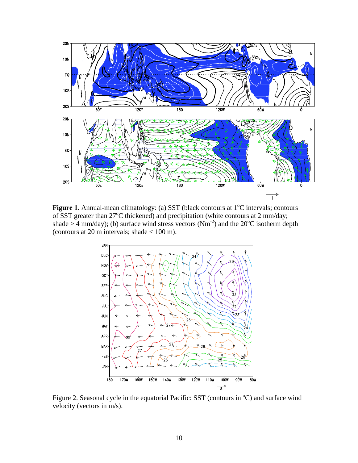

Figure 1. Annual-mean climatology: (a) SST (black contours at 1<sup>o</sup>C intervals; contours of SST greater than 27°C thickened) and precipitation (white contours at 2 mm/day; shade > 4 mm/day); (b) surface wind stress vectors  $(Nm<sup>-2</sup>)$  and the 20<sup>o</sup>C isotherm depth (contours at 20 m intervals; shade  $< 100$  m).



Figure 2. Seasonal cycle in the equatorial Pacific: SST (contours in <sup>o</sup>C) and surface wind velocity (vectors in m/s).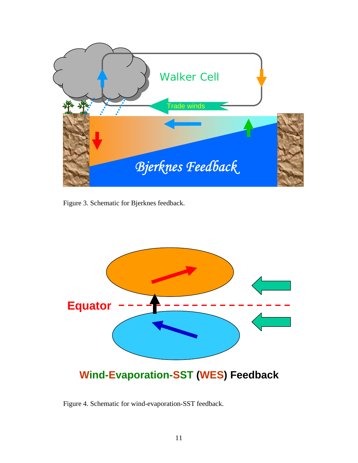

Figure 3. Schematic for Bjerknes feedback.



**Wind-Evaporation-SST (WES) Feedback** 

Figure 4. Schematic for wind-evaporation-SST feedback.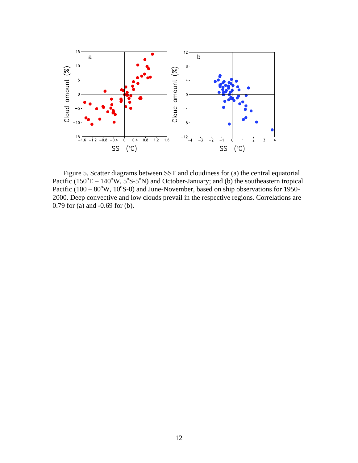

Figure 5. Scatter diagrams between SST and cloudiness for (a) the central equatorial Pacific  $(150^{\circ}E - 140^{\circ}W, 5^{\circ}S - 5^{\circ}N)$  and October-January; and (b) the southeastern tropical Pacific  $(100 - 80^{\circ}W, 10^{\circ}S-0)$  and June-November, based on ship observations for 1950-2000. Deep convective and low clouds prevail in the respective regions. Correlations are 0.79 for (a) and -0.69 for (b).